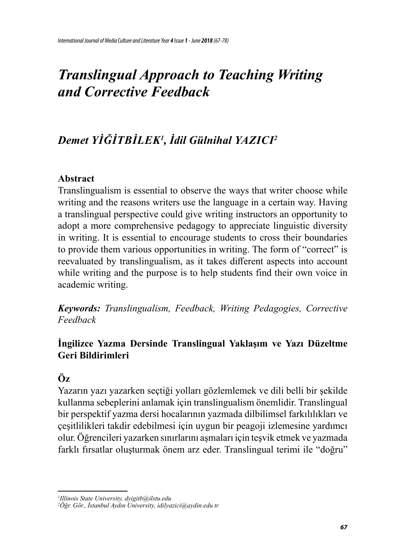# *Translingual Approach to Teaching Writing and Corrective Feedback*

# *Demet YIĞITBILEK<sup>1</sup> , İdil Gülnihal YAZICI2*

#### **Abstract**

Translingualism is essential to observe the ways that writer choose while writing and the reasons writers use the language in a certain way. Having a translingual perspective could give writing instructors an opportunity to adopt a more comprehensive pedagogy to appreciate linguistic diversity in writing. It is essential to encourage students to cross their boundaries to provide them various opportunities in writing. The form of "correct" is reevaluated by translingualism, as it takes different aspects into account while writing and the purpose is to help students find their own voice in academic writing.

*Keywords: Translingualism, Feedback, Writing Pedagogies, Corrective Feedback*

## **İngilizce Yazma Dersinde Translingual Yaklaşım ve Yazı Düzeltme Geri Bildirimleri**

# **Öz**

Yazarın yazı yazarken seçtiği yolları gözlemlemek ve dili belli bir şekilde kullanma sebeplerini anlamak için translingualism önemlidir. Translingual bir perspektif yazma dersi hocalarının yazmada dilbilimsel farkılılıkları ve çeşitlilikleri takdir edebilmesi için uygun bir peagoji izlemesine yardımcı olur. Öğrencileri yazarken sınırlarını aşmaları için teşvik etmek ve yazmada farklı fırsatlar oluşturmak önem arz eder. Translingual terimi ile "doğru"

*<sup>1</sup> Illinois State University, dyigitb@ilstu.edu*

*<sup>2</sup> Öğr. Gör., İstanbul Aydın University, idilyazici@aydin.edu.tr*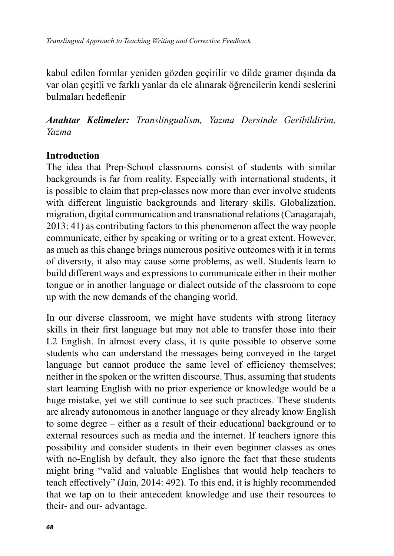kabul edilen formlar yeniden gözden geçirilir ve dilde gramer dışında da var olan çeşitli ve farklı yanlar da ele alınarak öğrencilerin kendi seslerini bulmaları hedeflenir

*Anahtar Kelimeler: Translingualism, Yazma Dersinde Geribildirim, Yazma*

#### **Introduction**

The idea that Prep-School classrooms consist of students with similar backgrounds is far from reality. Especially with international students, it is possible to claim that prep-classes now more than ever involve students with different linguistic backgrounds and literary skills. Globalization, migration, digital communication and transnational relations (Canagarajah, 2013: 41) as contributing factors to this phenomenon affect the way people communicate, either by speaking or writing or to a great extent. However, as much as this change brings numerous positive outcomes with it in terms of diversity, it also may cause some problems, as well. Students learn to build different ways and expressions to communicate either in their mother tongue or in another language or dialect outside of the classroom to cope up with the new demands of the changing world.

In our diverse classroom, we might have students with strong literacy skills in their first language but may not able to transfer those into their L2 English. In almost every class, it is quite possible to observe some students who can understand the messages being conveyed in the target language but cannot produce the same level of efficiency themselves; neither in the spoken or the written discourse. Thus, assuming that students start learning English with no prior experience or knowledge would be a huge mistake, yet we still continue to see such practices. These students are already autonomous in another language or they already know English to some degree – either as a result of their educational background or to external resources such as media and the internet. If teachers ignore this possibility and consider students in their even beginner classes as ones with no-English by default, they also ignore the fact that these students might bring "valid and valuable Englishes that would help teachers to teach effectively" (Jain, 2014: 492). To this end, it is highly recommended that we tap on to their antecedent knowledge and use their resources to their- and our- advantage.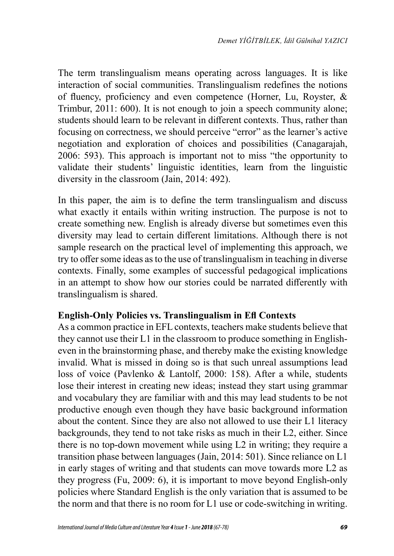The term translingualism means operating across languages. It is like interaction of social communities. Translingualism redefines the notions of fluency, proficiency and even competence (Horner, Lu, Royster, & Trimbur, 2011: 600). It is not enough to join a speech community alone; students should learn to be relevant in different contexts. Thus, rather than focusing on correctness, we should perceive "error" as the learner's active negotiation and exploration of choices and possibilities (Canagarajah, 2006: 593). This approach is important not to miss "the opportunity to validate their students' linguistic identities, learn from the linguistic diversity in the classroom (Jain, 2014: 492).

In this paper, the aim is to define the term translingualism and discuss what exactly it entails within writing instruction. The purpose is not to create something new. English is already diverse but sometimes even this diversity may lead to certain different limitations. Although there is not sample research on the practical level of implementing this approach, we try to offer some ideas as to the use of translingualism in teaching in diverse contexts. Finally, some examples of successful pedagogical implications in an attempt to show how our stories could be narrated differently with translingualism is shared.

#### **English-Only Policies vs. Translingualism in Efl Contexts**

As a common practice in EFL contexts, teachers make students believe that they cannot use their L1 in the classroom to produce something in Englisheven in the brainstorming phase, and thereby make the existing knowledge invalid. What is missed in doing so is that such unreal assumptions lead loss of voice (Pavlenko & Lantolf, 2000: 158). After a while, students lose their interest in creating new ideas; instead they start using grammar and vocabulary they are familiar with and this may lead students to be not productive enough even though they have basic background information about the content. Since they are also not allowed to use their L1 literacy backgrounds, they tend to not take risks as much in their L2, either. Since there is no top-down movement while using L2 in writing; they require a transition phase between languages (Jain, 2014: 501). Since reliance on L1 in early stages of writing and that students can move towards more L2 as they progress (Fu, 2009: 6), it is important to move beyond English-only policies where Standard English is the only variation that is assumed to be the norm and that there is no room for L1 use or code-switching in writing.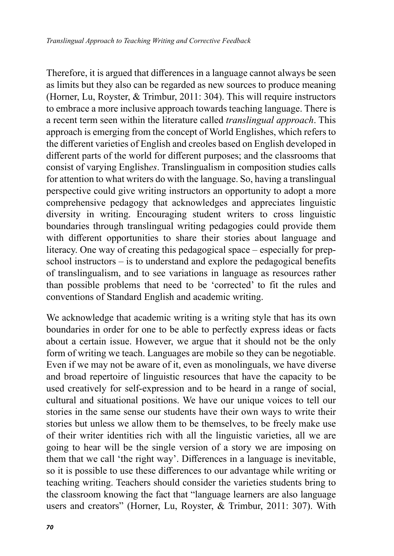Therefore, it is argued that differences in a language cannot always be seen as limits but they also can be regarded as new sources to produce meaning (Horner, Lu, Royster, & Trimbur, 2011: 304). This will require instructors to embrace a more inclusive approach towards teaching language. There is a recent term seen within the literature called *translingual approach*. This approach is emerging from the concept of World Englishes, which refers to the different varieties of English and creoles based on English developed in different parts of the world for different purposes; and the classrooms that consist of varying English*es*. Translingualism in composition studies calls for attention to what writers do with the language. So, having a translingual perspective could give writing instructors an opportunity to adopt a more comprehensive pedagogy that acknowledges and appreciates linguistic diversity in writing. Encouraging student writers to cross linguistic boundaries through translingual writing pedagogies could provide them with different opportunities to share their stories about language and literacy. One way of creating this pedagogical space – especially for prepschool instructors – is to understand and explore the pedagogical benefits of translingualism, and to see variations in language as resources rather than possible problems that need to be 'corrected' to fit the rules and conventions of Standard English and academic writing.

We acknowledge that academic writing is a writing style that has its own boundaries in order for one to be able to perfectly express ideas or facts about a certain issue. However, we argue that it should not be the only form of writing we teach. Languages are mobile so they can be negotiable. Even if we may not be aware of it, even as monolinguals, we have diverse and broad repertoire of linguistic resources that have the capacity to be used creatively for self-expression and to be heard in a range of social, cultural and situational positions. We have our unique voices to tell our stories in the same sense our students have their own ways to write their stories but unless we allow them to be themselves, to be freely make use of their writer identities rich with all the linguistic varieties, all we are going to hear will be the single version of a story we are imposing on them that we call 'the right way'. Differences in a language is inevitable, so it is possible to use these differences to our advantage while writing or teaching writing. Teachers should consider the varieties students bring to the classroom knowing the fact that "language learners are also language users and creators" (Horner, Lu, Royster, & Trimbur, 2011: 307). With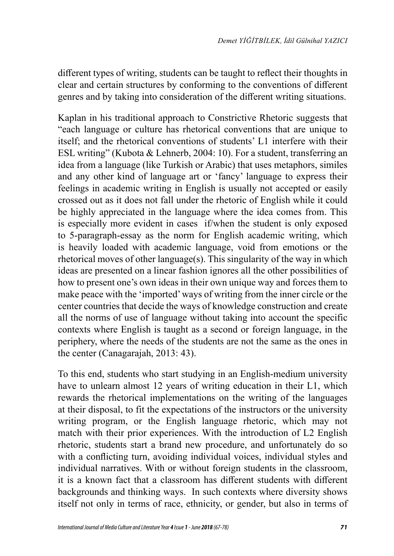different types of writing, students can be taught to reflect their thoughts in clear and certain structures by conforming to the conventions of different genres and by taking into consideration of the different writing situations.

Kaplan in his traditional approach to Constrictive Rhetoric suggests that "each language or culture has rhetorical conventions that are unique to itself; and the rhetorical conventions of students' L1 interfere with their ESL writing" (Kubota & Lehnerb, 2004: 10). For a student, transferring an idea from a language (like Turkish or Arabic) that uses metaphors, similes and any other kind of language art or 'fancy' language to express their feelings in academic writing in English is usually not accepted or easily crossed out as it does not fall under the rhetoric of English while it could be highly appreciated in the language where the idea comes from. This is especially more evident in cases if/when the student is only exposed to 5-paragraph-essay as the norm for English academic writing, which is heavily loaded with academic language, void from emotions or the rhetorical moves of other language(s). This singularity of the way in which ideas are presented on a linear fashion ignores all the other possibilities of how to present one's own ideas in their own unique way and forces them to make peace with the 'imported' ways of writing from the inner circle or the center countries that decide the ways of knowledge construction and create all the norms of use of language without taking into account the specific contexts where English is taught as a second or foreign language, in the periphery, where the needs of the students are not the same as the ones in the center (Canagarajah, 2013: 43).

To this end, students who start studying in an English-medium university have to unlearn almost 12 years of writing education in their L1, which rewards the rhetorical implementations on the writing of the languages at their disposal, to fit the expectations of the instructors or the university writing program, or the English language rhetoric, which may not match with their prior experiences. With the introduction of L2 English rhetoric, students start a brand new procedure, and unfortunately do so with a conflicting turn, avoiding individual voices, individual styles and individual narratives. With or without foreign students in the classroom, it is a known fact that a classroom has different students with different backgrounds and thinking ways. In such contexts where diversity shows itself not only in terms of race, ethnicity, or gender, but also in terms of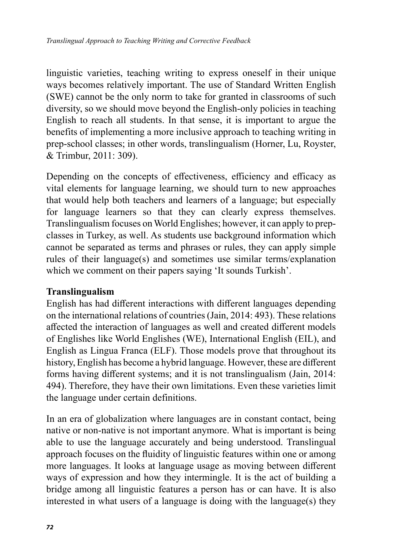linguistic varieties, teaching writing to express oneself in their unique ways becomes relatively important. The use of Standard Written English (SWE) cannot be the only norm to take for granted in classrooms of such diversity, so we should move beyond the English-only policies in teaching English to reach all students. In that sense, it is important to argue the benefits of implementing a more inclusive approach to teaching writing in prep-school classes; in other words, translingualism (Horner, Lu, Royster, & Trimbur, 2011: 309).

Depending on the concepts of effectiveness, efficiency and efficacy as vital elements for language learning, we should turn to new approaches that would help both teachers and learners of a language; but especially for language learners so that they can clearly express themselves. Translingualism focuses on World Englishes; however, it can apply to prepclasses in Turkey, as well. As students use background information which cannot be separated as terms and phrases or rules, they can apply simple rules of their language(s) and sometimes use similar terms/explanation which we comment on their papers saying 'It sounds Turkish'.

#### **Translingualism**

English has had different interactions with different languages depending on the international relations of countries (Jain, 2014: 493). These relations affected the interaction of languages as well and created different models of Englishes like World Englishes (WE), International English (EIL), and English as Lingua Franca (ELF). Those models prove that throughout its history, English has become a hybrid language. However, these are different forms having different systems; and it is not translingualism (Jain, 2014: 494). Therefore, they have their own limitations. Even these varieties limit the language under certain definitions.

In an era of globalization where languages are in constant contact, being native or non-native is not important anymore. What is important is being able to use the language accurately and being understood. Translingual approach focuses on the fluidity of linguistic features within one or among more languages. It looks at language usage as moving between different ways of expression and how they intermingle. It is the act of building a bridge among all linguistic features a person has or can have. It is also interested in what users of a language is doing with the language(s) they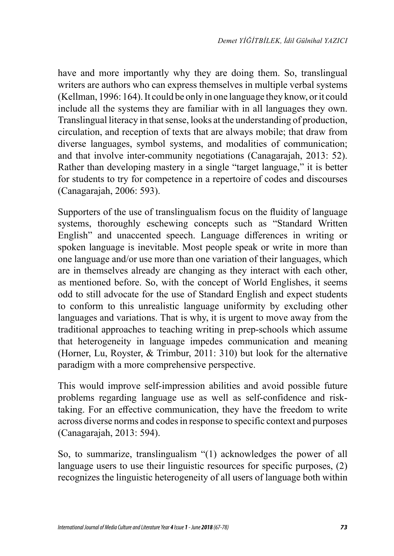have and more importantly why they are doing them. So, translingual writers are authors who can express themselves in multiple verbal systems (Kellman, 1996: 164). It could be only in one language they know, or it could include all the systems they are familiar with in all languages they own. Translingual literacy in that sense, looks at the understanding of production, circulation, and reception of texts that are always mobile; that draw from diverse languages, symbol systems, and modalities of communication; and that involve inter-community negotiations (Canagarajah, 2013: 52). Rather than developing mastery in a single "target language," it is better for students to try for competence in a repertoire of codes and discourses (Canagarajah, 2006: 593).

Supporters of the use of translingualism focus on the fluidity of language systems, thoroughly eschewing concepts such as "Standard Written English" and unaccented speech. Language differences in writing or spoken language is inevitable. Most people speak or write in more than one language and/or use more than one variation of their languages, which are in themselves already are changing as they interact with each other, as mentioned before. So, with the concept of World Englishes, it seems odd to still advocate for the use of Standard English and expect students to conform to this unrealistic language uniformity by excluding other languages and variations. That is why, it is urgent to move away from the traditional approaches to teaching writing in prep-schools which assume that heterogeneity in language impedes communication and meaning (Horner, Lu, Royster, & Trimbur, 2011: 310) but look for the alternative paradigm with a more comprehensive perspective.

This would improve self-impression abilities and avoid possible future problems regarding language use as well as self-confidence and risktaking. For an effective communication, they have the freedom to write across diverse norms and codes in response to specific context and purposes (Canagarajah, 2013: 594).

So, to summarize, translingualism "(1) acknowledges the power of all language users to use their linguistic resources for specific purposes, (2) recognizes the linguistic heterogeneity of all users of language both within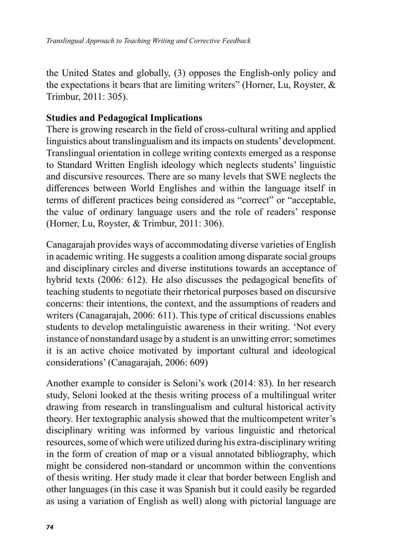the United States and globally, (3) opposes the English-only policy and the expectations it bears that are limiting writers" (Horner, Lu, Royster, & Trimbur, 2011: 305).

#### **Studies and Pedagogical Implications**

There is growing research in the field of cross-cultural writing and applied linguistics about translingualism and its impacts on students' development. Translingual orientation in college writing contexts emerged as a response to Standard Written English ideology which neglects students' linguistic and discursive resources. There are so many levels that SWE neglects the differences between World Englishes and within the language itself in terms of different practices being considered as "correct" or "acceptable, the value of ordinary language users and the role of readers' response (Horner, Lu, Royster, & Trimbur, 2011: 306).

Canagarajah provides ways of accommodating diverse varieties of English in academic writing. He suggests a coalition among disparate social groups and disciplinary circles and diverse institutions towards an acceptance of hybrid texts (2006: 612). He also discusses the pedagogical benefits of teaching students to negotiate their rhetorical purposes based on discursive concerns: their intentions, the context, and the assumptions of readers and writers (Canagarajah, 2006: 611). This type of critical discussions enables students to develop metalinguistic awareness in their writing. 'Not every instance of nonstandard usage by a student is an unwitting error; sometimes it is an active choice motivated by important cultural and ideological considerations' (Canagarajah, 2006: 609)

Another example to consider is Seloni's work (2014: 83). In her research study, Seloni looked at the thesis writing process of a multilingual writer drawing from research in translingualism and cultural historical activity theory. Her textographic analysis showed that the multicompetent writer's disciplinary writing was informed by various linguistic and rhetorical resources, some of which were utilized during his extra-disciplinary writing in the form of creation of map or a visual annotated bibliography, which might be considered non-standard or uncommon within the conventions of thesis writing. Her study made it clear that border between English and other languages (in this case it was Spanish but it could easily be regarded as using a variation of English as well) along with pictorial language are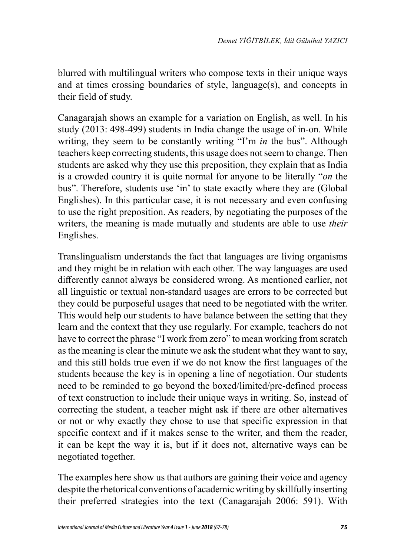blurred with multilingual writers who compose texts in their unique ways and at times crossing boundaries of style, language(s), and concepts in their field of study.

Canagarajah shows an example for a variation on English, as well. In his study (2013: 498-499) students in India change the usage of in-on. While writing, they seem to be constantly writing "I'm *in* the bus". Although teachers keep correcting students, this usage does not seem to change. Then students are asked why they use this preposition, they explain that as India is a crowded country it is quite normal for anyone to be literally "*on* the bus". Therefore, students use 'in' to state exactly where they are (Global Englishes). In this particular case, it is not necessary and even confusing to use the right preposition. As readers, by negotiating the purposes of the writers, the meaning is made mutually and students are able to use *their* Englishes.

Translingualism understands the fact that languages are living organisms and they might be in relation with each other. The way languages are used differently cannot always be considered wrong. As mentioned earlier, not all linguistic or textual non-standard usages are errors to be corrected but they could be purposeful usages that need to be negotiated with the writer. This would help our students to have balance between the setting that they learn and the context that they use regularly. For example, teachers do not have to correct the phrase "I work from zero" to mean working from scratch as the meaning is clear the minute we ask the student what they want to say, and this still holds true even if we do not know the first languages of the students because the key is in opening a line of negotiation. Our students need to be reminded to go beyond the boxed/limited/pre-defined process of text construction to include their unique ways in writing. So, instead of correcting the student, a teacher might ask if there are other alternatives or not or why exactly they chose to use that specific expression in that specific context and if it makes sense to the writer, and them the reader, it can be kept the way it is, but if it does not, alternative ways can be negotiated together.

The examples here show us that authors are gaining their voice and agency despite the rhetorical conventions of academic writing by skillfully inserting their preferred strategies into the text (Canagarajah 2006: 591). With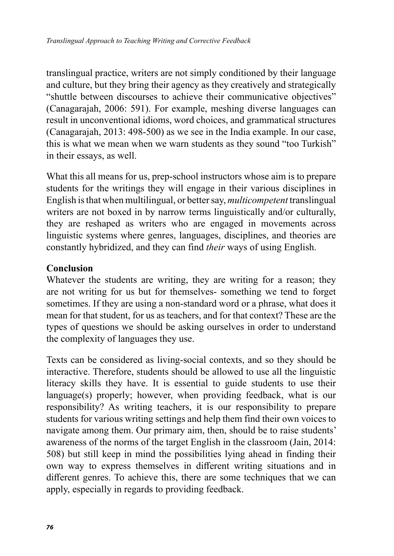translingual practice, writers are not simply conditioned by their language and culture, but they bring their agency as they creatively and strategically "shuttle between discourses to achieve their communicative objectives" (Canagarajah, 2006: 591). For example, meshing diverse languages can result in unconventional idioms, word choices, and grammatical structures (Canagarajah, 2013: 498-500) as we see in the India example. In our case, this is what we mean when we warn students as they sound "too Turkish" in their essays, as well.

What this all means for us, prep-school instructors whose aim is to prepare students for the writings they will engage in their various disciplines in English is that when multilingual, or better say, *multicompetent* translingual writers are not boxed in by narrow terms linguistically and/or culturally, they are reshaped as writers who are engaged in movements across linguistic systems where genres, languages, disciplines, and theories are constantly hybridized, and they can find *their* ways of using English.

#### **Conclusion**

Whatever the students are writing, they are writing for a reason; they are not writing for us but for themselves- something we tend to forget sometimes. If they are using a non-standard word or a phrase, what does it mean for that student, for us as teachers, and for that context? These are the types of questions we should be asking ourselves in order to understand the complexity of languages they use.

Texts can be considered as living-social contexts, and so they should be interactive. Therefore, students should be allowed to use all the linguistic literacy skills they have. It is essential to guide students to use their language(s) properly; however, when providing feedback, what is our responsibility? As writing teachers, it is our responsibility to prepare students for various writing settings and help them find their own voices to navigate among them. Our primary aim, then, should be to raise students' awareness of the norms of the target English in the classroom (Jain, 2014: 508) but still keep in mind the possibilities lying ahead in finding their own way to express themselves in different writing situations and in different genres. To achieve this, there are some techniques that we can apply, especially in regards to providing feedback.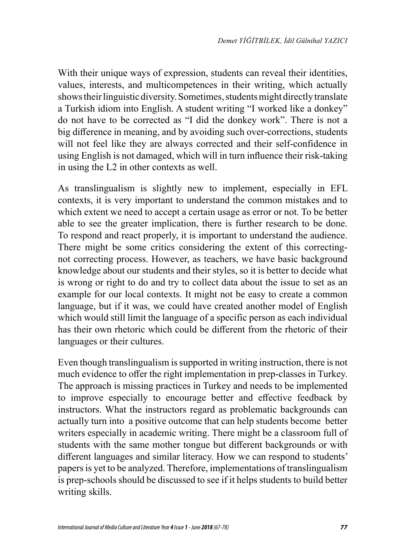With their unique ways of expression, students can reveal their identities, values, interests, and multicompetences in their writing, which actually shows their linguistic diversity. Sometimes, students might directly translate a Turkish idiom into English. A student writing "I worked like a donkey" do not have to be corrected as "I did the donkey work". There is not a big difference in meaning, and by avoiding such over-corrections, students will not feel like they are always corrected and their self-confidence in using English is not damaged, which will in turn influence their risk-taking in using the L2 in other contexts as well.

As translingualism is slightly new to implement, especially in EFL contexts, it is very important to understand the common mistakes and to which extent we need to accept a certain usage as error or not. To be better able to see the greater implication, there is further research to be done. To respond and react properly, it is important to understand the audience. There might be some critics considering the extent of this correctingnot correcting process. However, as teachers, we have basic background knowledge about our students and their styles, so it is better to decide what is wrong or right to do and try to collect data about the issue to set as an example for our local contexts. It might not be easy to create a common language, but if it was, we could have created another model of English which would still limit the language of a specific person as each individual has their own rhetoric which could be different from the rhetoric of their languages or their cultures.

Even though translingualism is supported in writing instruction, there is not much evidence to offer the right implementation in prep-classes in Turkey. The approach is missing practices in Turkey and needs to be implemented to improve especially to encourage better and effective feedback by instructors. What the instructors regard as problematic backgrounds can actually turn into a positive outcome that can help students become better writers especially in academic writing. There might be a classroom full of students with the same mother tongue but different backgrounds or with different languages and similar literacy. How we can respond to students' papers is yet to be analyzed. Therefore, implementations of translingualism is prep-schools should be discussed to see if it helps students to build better writing skills.